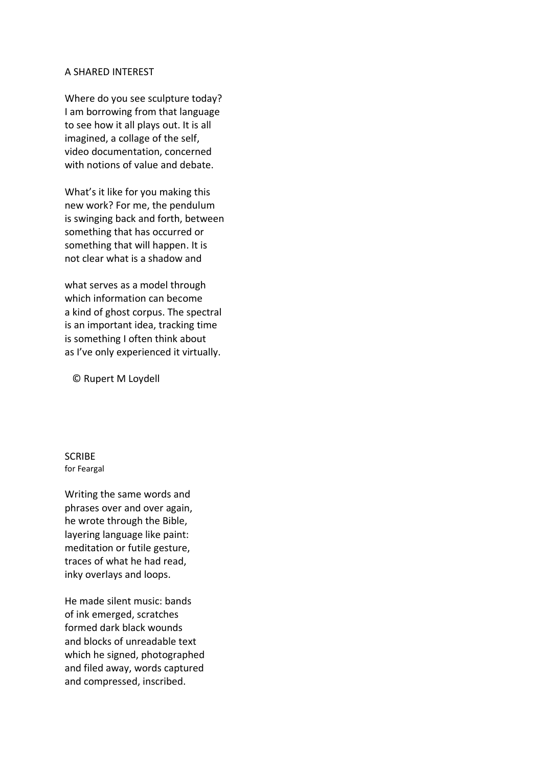## A SHARED INTEREST

Where do you see sculpture today? I am borrowing from that language to see how it all plays out. It is all imagined, a collage of the self, video documentation, concerned with notions of value and debate.

What's it like for you making this new work? For me, the pendulum is swinging back and forth, between something that has occurred or something that will happen. It is not clear what is a shadow and

what serves as a model through which information can become a kind of ghost corpus. The spectral is an important idea, tracking time is something I often think about as I've only experienced it virtually.

© Rupert M Loydell

**SCRIBE** for Feargal

Writing the same words and phrases over and over again, he wrote through the Bible, layering language like paint: meditation or futile gesture, traces of what he had read, inky overlays and loops.

He made silent music: bands of ink emerged, scratches formed dark black wounds and blocks of unreadable text which he signed, photographed and filed away, words captured and compressed, inscribed.